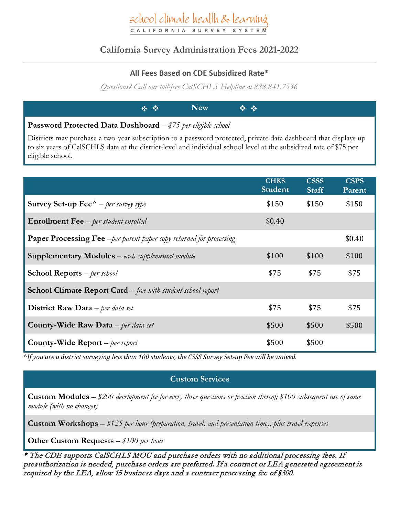## school climate health & learning CALIFORNIA SURVEY

### **California Survey Administration Fees 2021-2022**

#### **All Fees Based on CDE Subsidized Rate\***

*Questions? Call our toll-free CalSCHLS Helpline at 888.841.7536*

|                                                                      | $\mathbf{A} \cdot \mathbf{A}$ and $\mathbf{A} \cdot \mathbf{A}$ and $\mathbf{A} \cdot \mathbf{A}$ |  |
|----------------------------------------------------------------------|---------------------------------------------------------------------------------------------------|--|
| <b>Password Protected Data Dashboard</b> $-\$75$ per eligible school |                                                                                                   |  |

Districts may purchase a two-year subscription to a password protected, private data dashboard that displays up to six years of CalSCHLS data at the district-level and individual school level at the subsidized rate of \$75 per eligible school.

|                                                                             | <b>CHKS</b><br><b>Student</b> | <b>CSSS</b><br><b>Staff</b> | <b>CSPS</b><br>Parent |
|-----------------------------------------------------------------------------|-------------------------------|-----------------------------|-----------------------|
| <b>Survey Set-up Fee</b> $^{\wedge}$ – per survey type                      | \$150                         | \$150                       | \$150                 |
| <b>Enrollment Fee</b> - per student enrolled                                | \$0.40                        |                             |                       |
| <b>Paper Processing Fee</b> - per parent paper copy returned for processing |                               |                             | \$0.40                |
| <b>Supplementary Modules</b> – each supplemental module                     | \$100                         | \$100                       | \$100                 |
| <b>School Reports</b> $-$ <i>per school</i>                                 | \$75                          | \$75                        | \$75                  |
| <b>School Climate Report Card</b> – free with student school report         |                               |                             |                       |
| <b>District Raw Data</b> – per data set                                     | \$75                          | \$75                        | \$75                  |
| <b>County-Wide Raw Data</b> – per data set                                  | \$500                         | \$500                       | \$500                 |
| County-Wide Report $–$ per report                                           | \$500                         | \$500                       |                       |

^*If you are a district surveying less than 100 students, the CSSS Survey Set-up Fee will be waived.*

#### **Custom Services**

**Custom Modules** – *\$200 development fee for every three questions or fraction thereof; \$100 subsequent use of same module (with no changes)*

**Custom Workshops** – *\$125 per hour (preparation, travel, and presentation time), plus travel expenses*

**Other Custom Requests** – *\$100 per hour*

\* The CDE supports CalSCHLS MOU and purchase orders with no additional processing fees. If preauthorization is needed, purchase orders are preferred. If a contract or LEA generated agreement is required by the LEA, allow 15 business days and a contract processing fee of \$300.